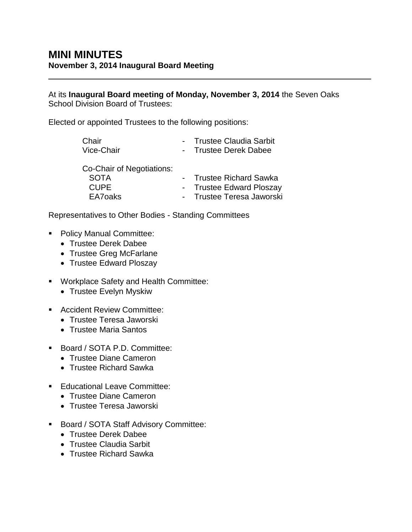At its **Inaugural Board meeting of Monday, November 3, 2014** the Seven Oaks School Division Board of Trustees:

Elected or appointed Trustees to the following positions:

| Chair<br>Vice-Chair       | - Trustee Claudia Sarbit<br>- Trustee Derek Dabee |
|---------------------------|---------------------------------------------------|
| Co-Chair of Negotiations: |                                                   |
| <b>SOTA</b>               | - Trustee Richard Sawka                           |
| <b>CUPE</b>               | - Trustee Edward Ploszay                          |

EA7oaks - Trustee Teresa Jaworski

Representatives to Other Bodies - Standing Committees

- **Policy Manual Committee:** 
	- Trustee Derek Dabee
	- Trustee Greg McFarlane
	- Trustee Edward Ploszay
- Workplace Safety and Health Committee:
	- Trustee Evelyn Myskiw
- **Accident Review Committee:** 
	- Trustee Teresa Jaworski
	- Trustee Maria Santos
- Board / SOTA P.D. Committee:
	- Trustee Diane Cameron
	- Trustee Richard Sawka
- **Educational Leave Committee:** 
	- Trustee Diane Cameron
	- Trustee Teresa Jaworski
- **Board / SOTA Staff Advisory Committee:** 
	- Trustee Derek Dabee
	- Trustee Claudia Sarbit
	- Trustee Richard Sawka